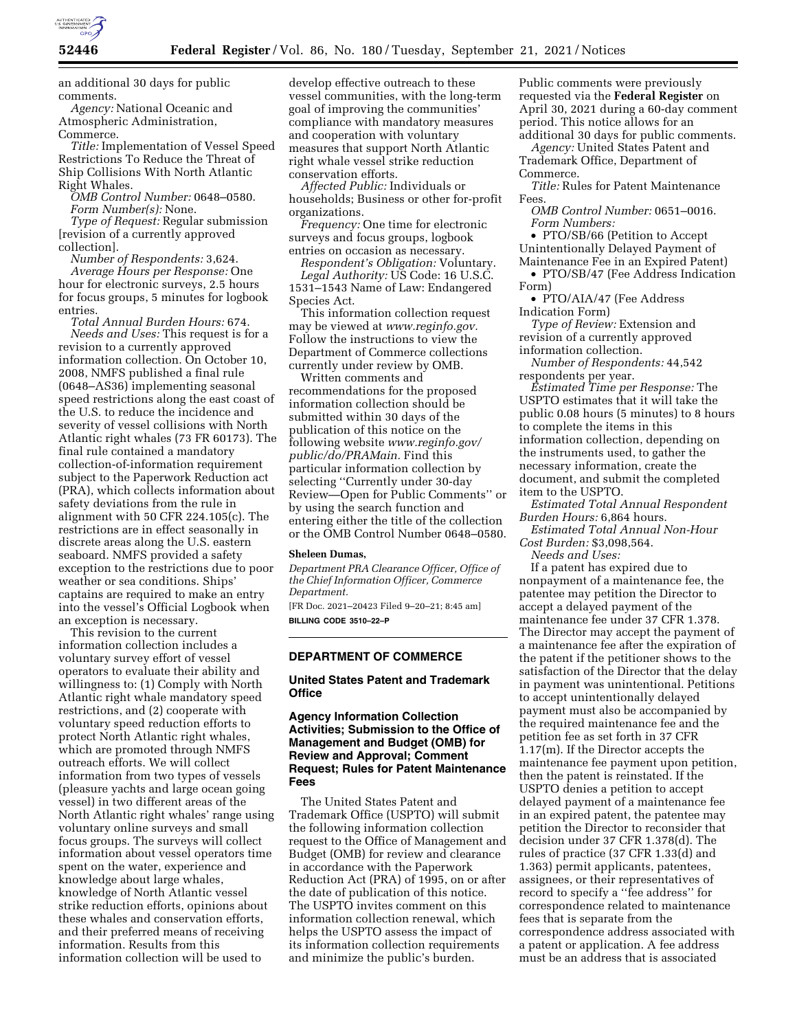

an additional 30 days for public comments.

*Agency:* National Oceanic and Atmospheric Administration, Commerce.

*Title:* Implementation of Vessel Speed Restrictions To Reduce the Threat of Ship Collisions With North Atlantic Right Whales.

*OMB Control Number:* 0648–0580. *Form Number(s):* None.

*Type of Request:* Regular submission [revision of a currently approved collection].

*Number of Respondents:* 3,624. *Average Hours per Response:* One hour for electronic surveys, 2.5 hours for focus groups, 5 minutes for logbook entries.

*Total Annual Burden Hours:* 674. *Needs and Uses:* This request is for a revision to a currently approved information collection. On October 10, 2008, NMFS published a final rule (0648–AS36) implementing seasonal speed restrictions along the east coast of the U.S. to reduce the incidence and severity of vessel collisions with North Atlantic right whales (73 FR 60173). The final rule contained a mandatory collection-of-information requirement subject to the Paperwork Reduction act (PRA), which collects information about safety deviations from the rule in alignment with 50 CFR 224.105(c). The restrictions are in effect seasonally in discrete areas along the U.S. eastern seaboard. NMFS provided a safety exception to the restrictions due to poor weather or sea conditions. Ships' captains are required to make an entry into the vessel's Official Logbook when an exception is necessary.

This revision to the current information collection includes a voluntary survey effort of vessel operators to evaluate their ability and willingness to: (1) Comply with North Atlantic right whale mandatory speed restrictions, and (2) cooperate with voluntary speed reduction efforts to protect North Atlantic right whales, which are promoted through NMFS outreach efforts. We will collect information from two types of vessels (pleasure yachts and large ocean going vessel) in two different areas of the North Atlantic right whales' range using voluntary online surveys and small focus groups. The surveys will collect information about vessel operators time spent on the water, experience and knowledge about large whales, knowledge of North Atlantic vessel strike reduction efforts, opinions about these whales and conservation efforts, and their preferred means of receiving information. Results from this information collection will be used to

develop effective outreach to these vessel communities, with the long-term goal of improving the communities' compliance with mandatory measures and cooperation with voluntary measures that support North Atlantic right whale vessel strike reduction conservation efforts.

*Affected Public:* Individuals or households; Business or other for-profit organizations.

*Frequency:* One time for electronic surveys and focus groups, logbook entries on occasion as necessary.

*Respondent's Obligation:* Voluntary.

*Legal Authority:* US Code: 16 U.S.C. 1531–1543 Name of Law: Endangered Species Act.

This information collection request may be viewed at *[www.reginfo.gov.](http://www.reginfo.gov)*  Follow the instructions to view the Department of Commerce collections currently under review by OMB.

Written comments and recommendations for the proposed information collection should be submitted within 30 days of the publication of this notice on the following website *[www.reginfo.gov/](http://www.reginfo.gov/public/do/PRAMain)  [public/do/PRAMain.](http://www.reginfo.gov/public/do/PRAMain)* Find this particular information collection by selecting ''Currently under 30-day Review—Open for Public Comments'' or by using the search function and entering either the title of the collection or the OMB Control Number 0648–0580.

#### **Sheleen Dumas,**

*Department PRA Clearance Officer, Office of the Chief Information Officer, Commerce Department.* 

[FR Doc. 2021–20423 Filed 9–20–21; 8:45 am] **BILLING CODE 3510–22–P** 

## **DEPARTMENT OF COMMERCE**

## **United States Patent and Trademark Office**

## **Agency Information Collection Activities; Submission to the Office of Management and Budget (OMB) for Review and Approval; Comment Request; Rules for Patent Maintenance Fees**

The United States Patent and Trademark Office (USPTO) will submit the following information collection request to the Office of Management and Budget (OMB) for review and clearance in accordance with the Paperwork Reduction Act (PRA) of 1995, on or after the date of publication of this notice. The USPTO invites comment on this information collection renewal, which helps the USPTO assess the impact of its information collection requirements and minimize the public's burden.

Public comments were previously requested via the **Federal Register** on April 30, 2021 during a 60-day comment period. This notice allows for an additional 30 days for public comments.

*Agency:* United States Patent and Trademark Office, Department of Commerce.

*Title:* Rules for Patent Maintenance Fees.

*OMB Control Number:* 0651–0016. *Form Numbers:* 

• PTO/SB/66 (Petition to Accept Unintentionally Delayed Payment of

Maintenance Fee in an Expired Patent) • PTO/SB/47 (Fee Address Indication Form)

• PTO/AIA/47 (Fee Address Indication Form)

*Type of Review:* Extension and revision of a currently approved information collection.

*Number of Respondents:* 44,542 respondents per year.

*Estimated Time per Response:* The USPTO estimates that it will take the public 0.08 hours (5 minutes) to 8 hours to complete the items in this information collection, depending on the instruments used, to gather the necessary information, create the document, and submit the completed item to the USPTO.

*Estimated Total Annual Respondent Burden Hours:* 6,864 hours.

*Estimated Total Annual Non-Hour Cost Burden:* \$3,098,564.

*Needs and Uses:* 

If a patent has expired due to nonpayment of a maintenance fee, the patentee may petition the Director to accept a delayed payment of the maintenance fee under 37 CFR 1.378. The Director may accept the payment of a maintenance fee after the expiration of the patent if the petitioner shows to the satisfaction of the Director that the delay in payment was unintentional. Petitions to accept unintentionally delayed payment must also be accompanied by the required maintenance fee and the petition fee as set forth in 37 CFR 1.17(m). If the Director accepts the maintenance fee payment upon petition, then the patent is reinstated. If the USPTO denies a petition to accept delayed payment of a maintenance fee in an expired patent, the patentee may petition the Director to reconsider that decision under 37 CFR 1.378(d). The rules of practice (37 CFR 1.33(d) and 1.363) permit applicants, patentees, assignees, or their representatives of record to specify a ''fee address'' for correspondence related to maintenance fees that is separate from the correspondence address associated with a patent or application. A fee address must be an address that is associated